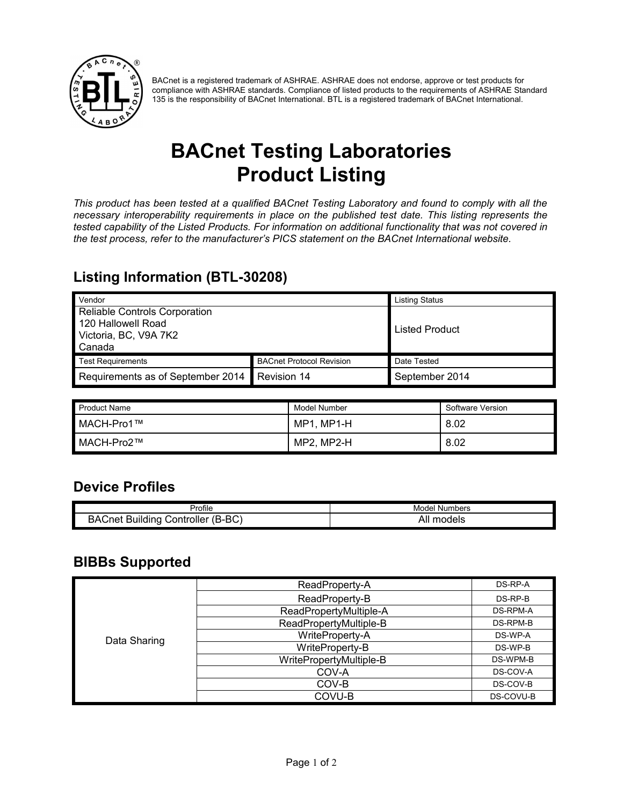

BACnet is a registered trademark of ASHRAE. ASHRAE does not endorse, approve or test products for compliance with ASHRAE standards. Compliance of listed products to the requirements of ASHRAE Standard 135 is the responsibility of BACnet International. BTL is a registered trademark of BACnet International.

# **BACnet Testing Laboratories Product Listing**

*This product has been tested at a qualified BACnet Testing Laboratory and found to comply with all the necessary interoperability requirements in place on the published test date. This listing represents the tested capability of the Listed Products. For information on additional functionality that was not covered in the test process, refer to the manufacturer's PICS statement on the BACnet International website.*

### **Listing Information (BTL-30208)**

| Vendor                                                                                 |                                 | <b>Listing Status</b> |
|----------------------------------------------------------------------------------------|---------------------------------|-----------------------|
| Reliable Controls Corporation<br>120 Hallowell Road<br>Victoria, BC, V9A 7K2<br>Canada |                                 | Listed Product        |
| <b>Test Requirements</b>                                                               | <b>BACnet Protocol Revision</b> | Date Tested           |
| Requirements as of September 2014                                                      | Revision 14                     | September 2014        |

| Product Name | Model Number | Software Version |
|--------------|--------------|------------------|
| MACH-Pro1™   | MP1, MP1-H   | 8.02             |
| MACH-Pro2™   | MP2, MP2-H   | 8.02             |

#### **Device Profiles**

| 'rofile                                                                      | Numbers<br>Model  |
|------------------------------------------------------------------------------|-------------------|
| <sub>nn</sub><br>A٢.<br>,,,<br>Controller<br>Buildinc<br>net.<br>. .<br>ס-סי | pdels<br>m<br>Al. |

#### **BIBBs Supported**

| Data Sharing | ReadProperty-A          | DS-RP-A   |
|--------------|-------------------------|-----------|
|              | ReadProperty-B          | $DS-RP-B$ |
|              | ReadPropertyMultiple-A  | DS-RPM-A  |
|              | ReadPropertyMultiple-B  | DS-RPM-B  |
|              | WriteProperty-A         | DS-WP-A   |
|              | WriteProperty-B         | DS-WP-B   |
|              | WritePropertyMultiple-B | DS-WPM-B  |
|              | COV-A                   | DS-COV-A  |
|              | COV-B                   | DS-COV-B  |
|              | COVU-B                  | DS-COVU-B |